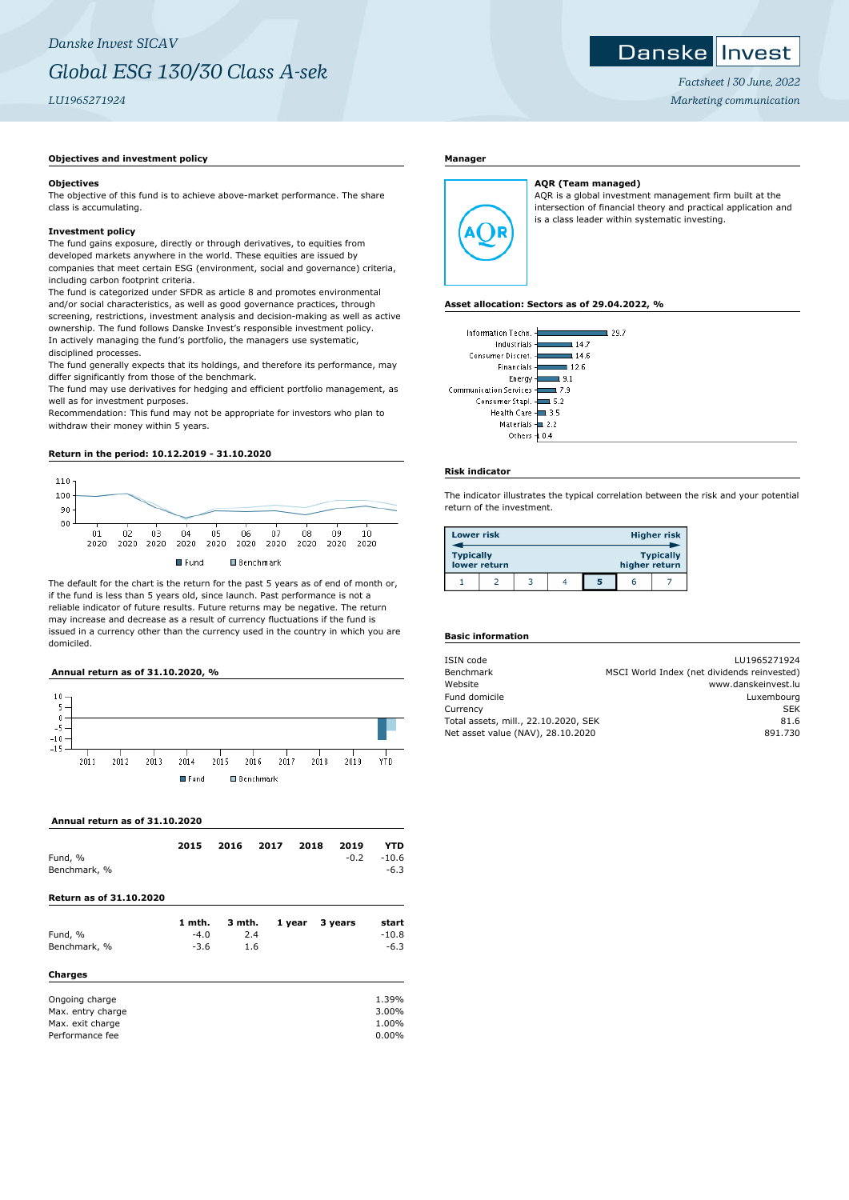### Danske Invest

*Factsheet | 30 June, 2022 Marketing communication*

## **Objectives and investment policy**

### **Objectives**

The objective of this fund is to achieve above-market performance. The share class is accumulating.

### **Investment policy**

The fund gains exposure, directly or through derivatives, to equities from developed markets anywhere in the world. These equities are issued by companies that meet certain ESG (environment, social and governance) criteria, including carbon footprint criteria.

The fund is categorized under SFDR as article 8 and promotes environmental and/or social characteristics, as well as good governance practices, through screening, restrictions, investment analysis and decision-making as well as active ownership. The fund follows Danske Invest's responsible investment policy. In actively managing the fund's portfolio, the managers use systematic, disciplined processes.

The fund generally expects that its holdings, and therefore its performance, may differ significantly from those of the benchmark.

The fund may use derivatives for hedging and efficient portfolio management, as well as for investment purposes.

Recommendation: This fund may not be appropriate for investors who plan to withdraw their money within 5 years.

**Return in the period: 10.12.2019 - 31.10.2020**



The default for the chart is the return for the past 5 years as of end of month or, if the fund is less than 5 years old, since launch. Past performance is not a reliable indicator of future results. Future returns may be negative. The return may increase and decrease as a result of currency fluctuations if the fund is issued in a currency other than the currency used in the country in which you are domiciled.

# **Annual return as of 31.10.2020, %**



 **Annual return as of 31.10.2020**

| Fund, %<br>Benchmark, %<br>Return as of 31.10.2020                         | 2015                       | 2016                 | 2017 | 2018   | 2019<br>$-0.2$ | YTD<br>$-10.6$<br>$-6.3$         |
|----------------------------------------------------------------------------|----------------------------|----------------------|------|--------|----------------|----------------------------------|
| Fund, %<br>Benchmark, %<br>Charges                                         | 1 mth.<br>$-4.0$<br>$-3.6$ | 3 mth.<br>2.4<br>1.6 |      | 1 year | 3 years        | start<br>$-10.8$<br>$-6.3$       |
| Ongoing charge<br>Max. entry charge<br>Max. exit charge<br>Performance fee |                            |                      |      |        |                | 1.39%<br>3.00%<br>1.00%<br>0.00% |

### **Manager**

# A( )F

**AQR (Team managed)** AQR is a global investment management firm built at the intersection of financial theory and practical application and is a class leader within systematic investing.

#### **Asset allocation: Sectors as of 29.04.2022, %**

| Information Techn.            | 29.7 |
|-------------------------------|------|
| Industrials                   | 14.7 |
| Consumer Discret. -           | 14.6 |
| Financials                    | 12.6 |
| Energy-                       | 9.1  |
| <b>Communication Services</b> | 7.9  |
| Consumer Stapl.               | 5.2  |
| Health Care -                 | 3.5  |
| <b>Materials</b>              | 22   |
| Others                        | 0.4  |
|                               |      |

### **Risk indicator**

The indicator illustrates the typical correlation between the risk and your potential return of the investment.

| <b>Lower risk</b> |              |  |   |               | <b>Higher risk</b> |
|-------------------|--------------|--|---|---------------|--------------------|
| <b>Typically</b>  | lower return |  |   | higher return | <b>Typically</b>   |
|                   |              |  | 5 |               |                    |

# **Basic information**

| ISIN code                            | LU1965271924                                |
|--------------------------------------|---------------------------------------------|
| Benchmark                            | MSCI World Index (net dividends reinvested) |
| Website                              | www.danskeinvest.lu                         |
| Fund domicile                        | Luxembourg                                  |
| Currency                             | <b>SEK</b>                                  |
| Total assets, mill., 22.10.2020, SEK | 81.6                                        |
| Net asset value (NAV), 28.10.2020    | 891.730                                     |
|                                      |                                             |